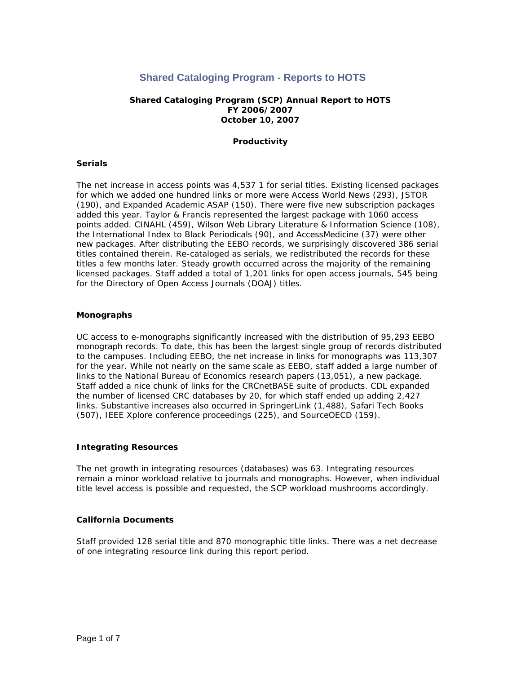# **Shared Cataloging Program - Reports to HOTS**

# **Shared Cataloging Program (SCP) Annual Report to HOTS FY 2006/2007 October 10, 2007**

## **Productivity**

## **Serials**

The net increase in access points was 4,537 1 for serial titles. Existing licensed packages for which we added one hundred links or more were Access World News (293), JSTOR (190), and Expanded Academic ASAP (150). There were five new subscription packages added this year. Taylor & Francis represented the largest package with 1060 access points added. CINAHL (459), Wilson Web Library Literature & Information Science (108), the International Index to Black Periodicals (90), and AccessMedicine (37) were other new packages. After distributing the EEBO records, we surprisingly discovered 386 serial titles contained therein. Re-cataloged as serials, we redistributed the records for these titles a few months later. Steady growth occurred across the majority of the remaining licensed packages. Staff added a total of 1,201 links for open access journals, 545 being for the Directory of Open Access Journals (DOAJ) titles.

#### **Monographs**

UC access to e-monographs significantly increased with the distribution of 95,293 EEBO monograph records. To date, this has been the largest single group of records distributed to the campuses. Including EEBO, the net increase in links for monographs was 113,307 for the year. While not nearly on the same scale as EEBO, staff added a large number of links to the National Bureau of Economics research papers (13,051), a new package. Staff added a nice chunk of links for the CRCnetBASE suite of products. CDL expanded the number of licensed CRC databases by 20, for which staff ended up adding 2,427 links. Substantive increases also occurred in SpringerLink (1,488), Safari Tech Books (507), IEEE Xplore conference proceedings (225), and SourceOECD (159).

## **Integrating Resources**

The net growth in integrating resources (databases) was 63. Integrating resources remain a minor workload relative to journals and monographs. However, when individual title level access is possible and requested, the SCP workload mushrooms accordingly.

## **California Documents**

Staff provided 128 serial title and 870 monographic title links. There was a net decrease of one integrating resource link during this report period.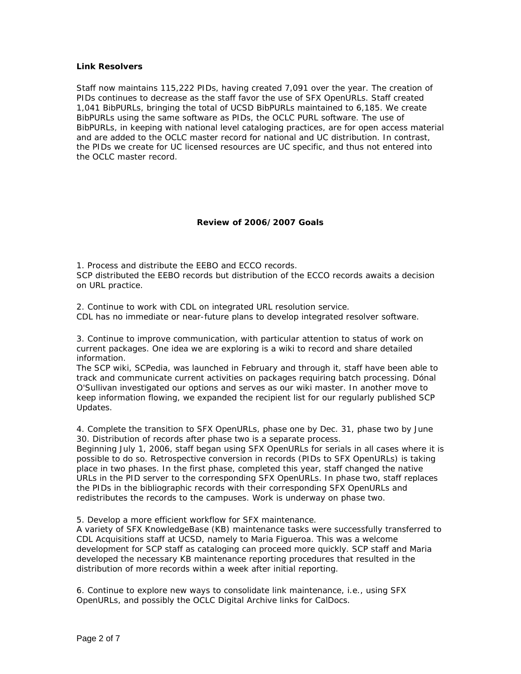#### **Link Resolvers**

Staff now maintains 115,222 PIDs, having created 7,091 over the year. The creation of PIDs continues to decrease as the staff favor the use of SFX OpenURLs. Staff created 1,041 BibPURLs, bringing the total of UCSD BibPURLs maintained to 6,185. We create BibPURLs using the same software as PIDs, the OCLC PURL software. The use of BibPURLs, in keeping with national level cataloging practices, are for open access material and are added to the OCLC master record for national and UC distribution. In contrast, the PIDs we create for UC licensed resources are UC specific, and thus not entered into the OCLC master record.

## **Review of 2006/2007 Goals**

*1. Process and distribute the EEBO and ECCO records.*  SCP distributed the EEBO records but distribution of the ECCO records awaits a decision on URL practice.

*2. Continue to work with CDL on integrated URL resolution service.*  CDL has no immediate or near-future plans to develop integrated resolver software.

## *3. Continue to improve communication, with particular attention to status of work on current packages. One idea we are exploring is a wiki to record and share detailed information.*

The SCP wiki, SCPedia, was launched in February and through it, staff have been able to track and communicate current activities on packages requiring batch processing. Dónal O'Sullivan investigated our options and serves as our wiki master. In another move to keep information flowing, we expanded the recipient list for our regularly published SCP Updates.

## *4. Complete the transition to SFX OpenURLs, phase one by Dec. 31, phase two by June 30. Distribution of records after phase two is a separate process.*

Beginning July 1, 2006, staff began using SFX OpenURLs for serials in all cases where it is possible to do so. Retrospective conversion in records (PIDs to SFX OpenURLs) is taking place in two phases. In the first phase, completed this year, staff changed the native URLs in the PID server to the corresponding SFX OpenURLs. In phase two, staff replaces the PIDs in the bibliographic records with their corresponding SFX OpenURLs and redistributes the records to the campuses. Work is underway on phase two.

## *5. Develop a more efficient workflow for SFX maintenance.*

A variety of SFX KnowledgeBase (KB) maintenance tasks were successfully transferred to CDL Acquisitions staff at UCSD, namely to Maria Figueroa. This was a welcome development for SCP staff as cataloging can proceed more quickly. SCP staff and Maria developed the necessary KB maintenance reporting procedures that resulted in the distribution of more records within a week after initial reporting.

*6. Continue to explore new ways to consolidate link maintenance, i.e., using SFX OpenURLs, and possibly the OCLC Digital Archive links for CalDocs.*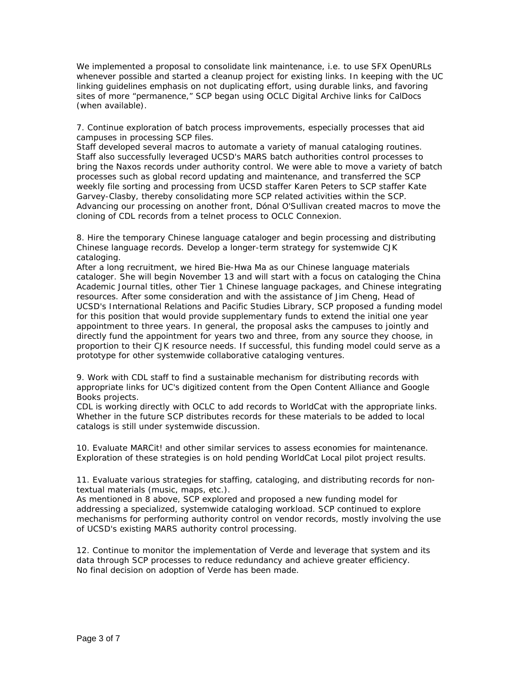We implemented a proposal to consolidate link maintenance, i.e. to use SFX OpenURLs whenever possible and started a cleanup project for existing links. In keeping with the UC linking guidelines emphasis on not duplicating effort, using durable links, and favoring sites of more "permanence," SCP began using OCLC Digital Archive links for CalDocs (when available).

## *7. Continue exploration of batch process improvements, especially processes that aid campuses in processing SCP files.*

Staff developed several macros to automate a variety of manual cataloging routines. Staff also successfully leveraged UCSD's MARS batch authorities control processes to bring the Naxos records under authority control. We were able to move a variety of batch processes such as global record updating and maintenance, and transferred the SCP weekly file sorting and processing from UCSD staffer Karen Peters to SCP staffer Kate Garvey-Clasby, thereby consolidating more SCP related activities within the SCP. Advancing our processing on another front, Dónal O'Sullivan created macros to move the cloning of CDL records from a telnet process to OCLC Connexion.

#### *8. Hire the temporary Chinese language cataloger and begin processing and distributing Chinese language records. Develop a longer-term strategy for systemwide CJK cataloging.*

After a long recruitment, we hired Bie-Hwa Ma as our Chinese language materials cataloger. She will begin November 13 and will start with a focus on cataloging the China Academic Journal titles, other Tier 1 Chinese language packages, and Chinese integrating resources. After some consideration and with the assistance of Jim Cheng, Head of UCSD's International Relations and Pacific Studies Library, SCP proposed a funding model for this position that would provide supplementary funds to extend the initial one year appointment to three years. In general, the proposal asks the campuses to jointly and directly fund the appointment for years two and three, from any source they choose, in proportion to their CJK resource needs. If successful, this funding model could serve as a prototype for other systemwide collaborative cataloging ventures.

#### *9. Work with CDL staff to find a sustainable mechanism for distributing records with appropriate links for UC's digitized content from the Open Content Alliance and Google Books projects.*

CDL is working directly with OCLC to add records to WorldCat with the appropriate links. Whether in the future SCP distributes records for these materials to be added to local catalogs is still under systemwide discussion.

*10. Evaluate MARCit! and other similar services to assess economies for maintenance.*  Exploration of these strategies is on hold pending WorldCat Local pilot project results.

# *11. Evaluate various strategies for staffing, cataloging, and distributing records for nontextual materials (music, maps, etc.).*

As mentioned in 8 above, SCP explored and proposed a new funding model for addressing a specialized, systemwide cataloging workload. SCP continued to explore mechanisms for performing authority control on vendor records, mostly involving the use of UCSD's existing MARS authority control processing.

*12. Continue to monitor the implementation of Verde and leverage that system and its data through SCP processes to reduce redundancy and achieve greater efficiency.*  No final decision on adoption of Verde has been made.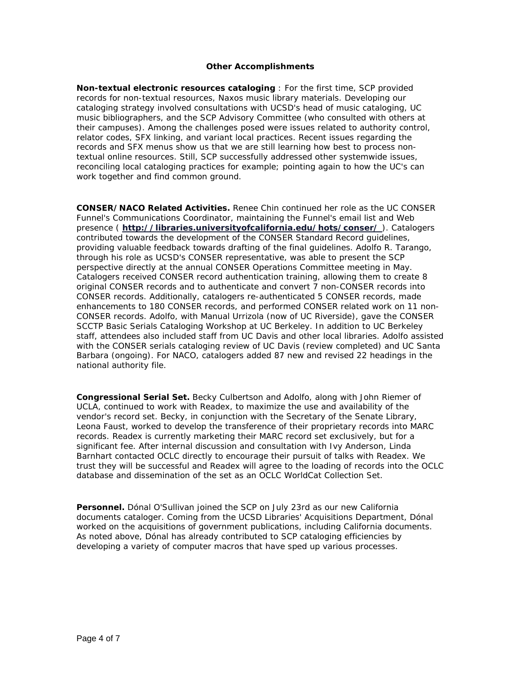## **Other Accomplishments**

**Non-textual electronic resources cataloging** : For the first time, SCP provided records for non-textual resources, Naxos music library materials. Developing our cataloging strategy involved consultations with UCSD's head of music cataloging, UC music bibliographers, and the SCP Advisory Committee (who consulted with others at their campuses). Among the challenges posed were issues related to authority control, relator codes, SFX linking, and variant local practices. Recent issues regarding the records and SFX menus show us that we are still learning how best to process nontextual online resources. Still, SCP successfully addressed other systemwide issues, reconciling local cataloging practices for example; pointing again to how the UC's can work together and find common ground.

**CONSER/NACO Related Activities.** Renee Chin continued her role as the UC CONSER Funnel's Communications Coordinator, maintaining the Funnel's email list and Web presence ( **<http://libraries.universityofcalifornia.edu/hots/conser/>**). Catalogers contributed towards the development of the CONSER Standard Record guidelines, providing valuable feedback towards drafting of the final guidelines. Adolfo R. Tarango, through his role as UCSD's CONSER representative, was able to present the SCP perspective directly at the annual CONSER Operations Committee meeting in May. Catalogers received CONSER record authentication training, allowing them to create 8 original CONSER records and to authenticate and convert 7 non-CONSER records into CONSER records. Additionally, catalogers re-authenticated 5 CONSER records, made enhancements to 180 CONSER records, and performed CONSER related work on 11 non-CONSER records. Adolfo, with Manual Urrizola (now of UC Riverside), gave the CONSER SCCTP Basic Serials Cataloging Workshop at UC Berkeley. In addition to UC Berkeley staff, attendees also included staff from UC Davis and other local libraries. Adolfo assisted with the CONSER serials cataloging review of UC Davis (review completed) and UC Santa Barbara (ongoing). For NACO, catalogers added 87 new and revised 22 headings in the national authority file.

**Congressional Serial Set.** Becky Culbertson and Adolfo, along with John Riemer of UCLA, continued to work with Readex, to maximize the use and availability of the vendor's record set. Becky, in conjunction with the Secretary of the Senate Library, Leona Faust, worked to develop the transference of their proprietary records into MARC records. Readex is currently marketing their MARC record set exclusively, but for a significant fee. After internal discussion and consultation with Ivy Anderson, Linda Barnhart contacted OCLC directly to encourage their pursuit of talks with Readex. We trust they will be successful and Readex will agree to the loading of records into the OCLC database and dissemination of the set as an OCLC WorldCat Collection Set.

**Personnel.** Dónal O'Sullivan joined the SCP on July 23rd as our new California documents cataloger. Coming from the UCSD Libraries' Acquisitions Department, Dónal worked on the acquisitions of government publications, including California documents. As noted above, Dónal has already contributed to SCP cataloging efficiencies by developing a variety of computer macros that have sped up various processes.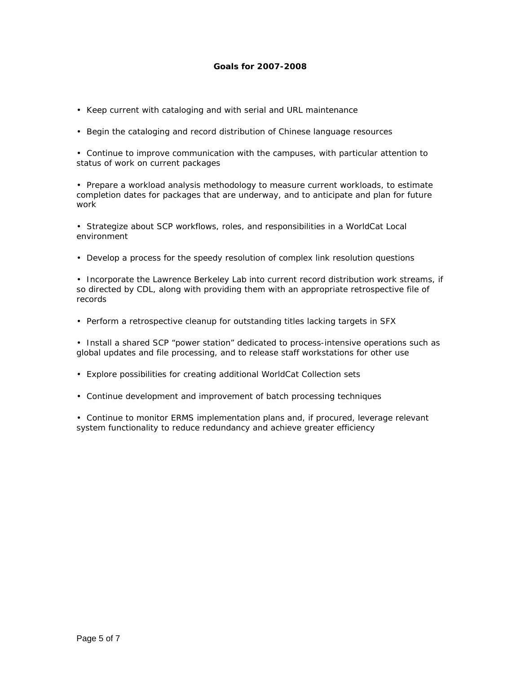# **Goals for 2007-2008**

- Keep current with cataloging and with serial and URL maintenance
- Begin the cataloging and record distribution of Chinese language resources

• Continue to improve communication with the campuses, with particular attention to status of work on current packages

• Prepare a workload analysis methodology to measure current workloads, to estimate completion dates for packages that are underway, and to anticipate and plan for future work

• Strategize about SCP workflows, roles, and responsibilities in a WorldCat Local environment

• Develop a process for the speedy resolution of complex link resolution questions

• Incorporate the Lawrence Berkeley Lab into current record distribution work streams, if so directed by CDL, along with providing them with an appropriate retrospective file of records

• Perform a retrospective cleanup for outstanding titles lacking targets in SFX

• Install a shared SCP "power station" dedicated to process-intensive operations such as global updates and file processing, and to release staff workstations for other use

- Explore possibilities for creating additional WorldCat Collection sets
- Continue development and improvement of batch processing techniques

• Continue to monitor ERMS implementation plans and, if procured, leverage relevant system functionality to reduce redundancy and achieve greater efficiency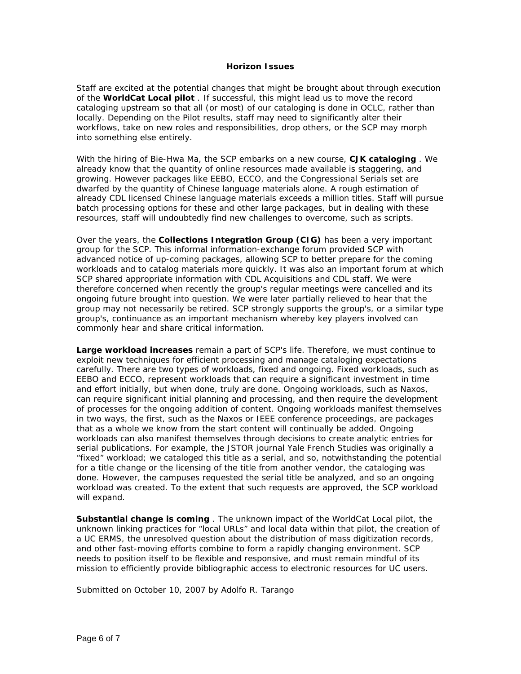#### **Horizon Issues**

Staff are excited at the potential changes that might be brought about through execution of the **WorldCat Local pilot** . If successful, this might lead us to move the record cataloging upstream so that all (or most) of our cataloging is done in OCLC, rather than locally. Depending on the Pilot results, staff may need to significantly alter their workflows, take on new roles and responsibilities, drop others, or the SCP may morph into something else entirely.

With the hiring of Bie-Hwa Ma, the SCP embarks on a new course, **CJK cataloging** . We already know that the quantity of online resources made available is staggering, and growing. However packages like EEBO, ECCO, and the Congressional Serials set are dwarfed by the quantity of Chinese language materials alone. A rough estimation of already CDL licensed Chinese language materials exceeds a million titles. Staff will pursue batch processing options for these and other large packages, but in dealing with these resources, staff will undoubtedly find new challenges to overcome, such as scripts.

Over the years, the **Collections Integration Group (CIG)** has been a very important group for the SCP. This informal information-exchange forum provided SCP with advanced notice of up-coming packages, allowing SCP to better prepare for the coming workloads and to catalog materials more quickly. It was also an important forum at which SCP shared appropriate information with CDL Acquisitions and CDL staff. We were therefore concerned when recently the group's regular meetings were cancelled and its ongoing future brought into question. We were later partially relieved to hear that the group may not necessarily be retired. SCP strongly supports the group's, or a similar type group's, continuance as an important mechanism whereby key players involved can commonly hear and share critical information.

**Large workload increases** remain a part of SCP's life. Therefore, we must continue to exploit new techniques for efficient processing and manage cataloging expectations carefully. There are two types of workloads, fixed and ongoing. Fixed workloads, such as EEBO and ECCO, represent workloads that can require a significant investment in time and effort initially, but when done, truly are done. Ongoing workloads, such as Naxos, can require significant initial planning and processing, and then require the development of processes for the ongoing addition of content. Ongoing workloads manifest themselves in two ways, the first, such as the Naxos or IEEE conference proceedings, are packages that as a whole we know from the start content will continually be added. Ongoing workloads can also manifest themselves through decisions to create analytic entries for serial publications. For example, the JSTOR journal Yale French Studies was originally a "fixed" workload; we cataloged this title as a serial, and so, notwithstanding the potential for a title change or the licensing of the title from another vendor, the cataloging was done. However, the campuses requested the serial title be analyzed, and so an ongoing workload was created. To the extent that such requests are approved, the SCP workload will expand.

**Substantial change is coming** . The unknown impact of the WorldCat Local pilot, the unknown linking practices for "local URLs" and local data within that pilot, the creation of a UC ERMS, the unresolved question about the distribution of mass digitization records, and other fast-moving efforts combine to form a rapidly changing environment. SCP needs to position itself to be flexible and responsive, and must remain mindful of its mission to efficiently provide bibliographic access to electronic resources for UC users.

Submitted on October 10, 2007 by Adolfo R. Tarango